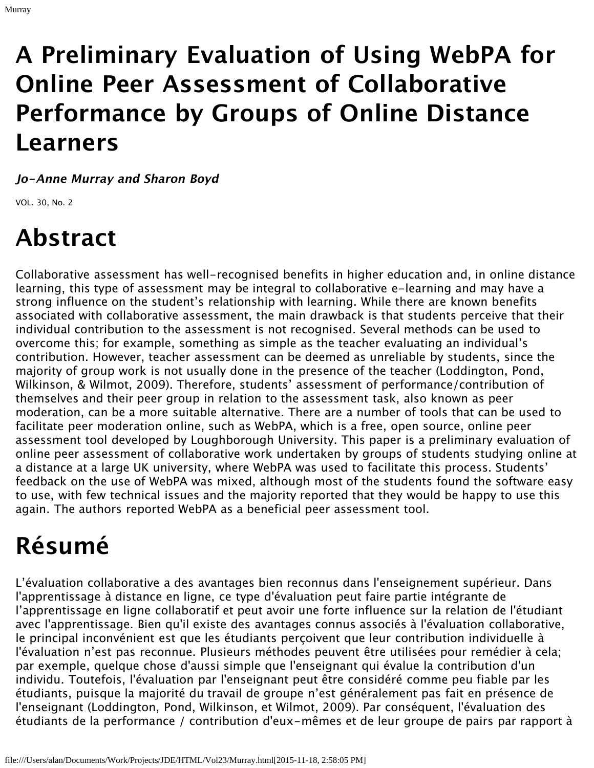# **A Preliminary Evaluation of Using WebPA for Online Peer Assessment of Collaborative Performance by Groups of Online Distance Learners**

**Jo-Anne Murray and Sharon Boyd**

VOL. 30, No. 2

Murray

# **Abstract**

Collaborative assessment has well-recognised benefits in higher education and, in online distance learning, this type of assessment may be integral to collaborative e-learning and may have a strong influence on the student's relationship with learning. While there are known benefits associated with collaborative assessment, the main drawback is that students perceive that their individual contribution to the assessment is not recognised. Several methods can be used to overcome this; for example, something as simple as the teacher evaluating an individual's contribution. However, teacher assessment can be deemed as unreliable by students, since the majority of group work is not usually done in the presence of the teacher (Loddington, Pond, Wilkinson, & Wilmot, 2009). Therefore, students' assessment of performance/contribution of themselves and their peer group in relation to the assessment task, also known as peer moderation, can be a more suitable alternative. There are a number of tools that can be used to facilitate peer moderation online, such as WebPA, which is a free, open source, online peer assessment tool developed by Loughborough University. This paper is a preliminary evaluation of online peer assessment of collaborative work undertaken by groups of students studying online at a distance at a large UK university, where WebPA was used to facilitate this process. Students' feedback on the use of WebPA was mixed, although most of the students found the software easy to use, with few technical issues and the majority reported that they would be happy to use this again. The authors reported WebPA as a beneficial peer assessment tool.

# **Résumé**

L'évaluation collaborative a des avantages bien reconnus dans l'enseignement supérieur. Dans l'apprentissage à distance en ligne, ce type d'évaluation peut faire partie intégrante de l'apprentissage en ligne collaboratif et peut avoir une forte influence sur la relation de l'étudiant avec l'apprentissage. Bien qu'il existe des avantages connus associés à l'évaluation collaborative, le principal inconvénient est que les étudiants perçoivent que leur contribution individuelle à l'évaluation n'est pas reconnue. Plusieurs méthodes peuvent être utilisées pour remédier à cela; par exemple, quelque chose d'aussi simple que l'enseignant qui évalue la contribution d'un individu. Toutefois, l'évaluation par l'enseignant peut être considéré comme peu fiable par les étudiants, puisque la majorité du travail de groupe n'est généralement pas fait en présence de l'enseignant (Loddington, Pond, Wilkinson, et Wilmot, 2009). Par conséquent, l'évaluation des étudiants de la performance / contribution d'eux-mêmes et de leur groupe de pairs par rapport à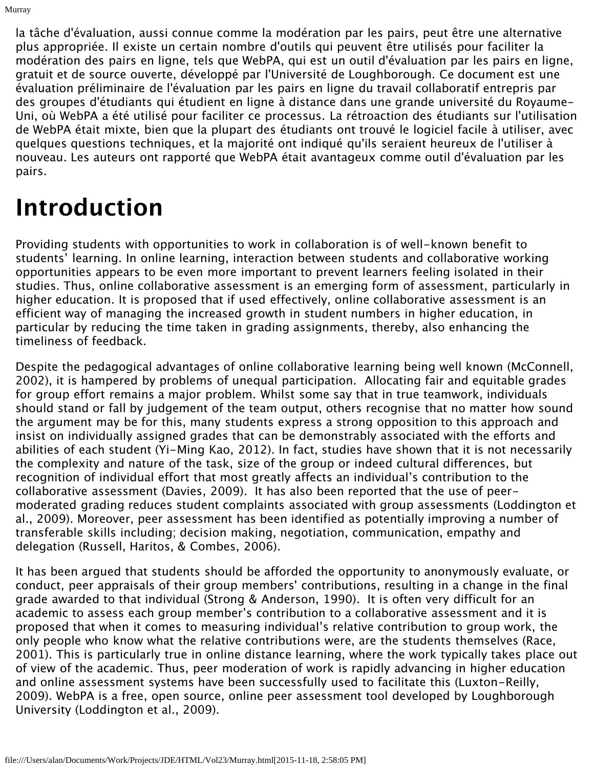la tâche d'évaluation, aussi connue comme la modération par les pairs, peut être une alternative plus appropriée. Il existe un certain nombre d'outils qui peuvent être utilisés pour faciliter la modération des pairs en ligne, tels que WebPA, qui est un outil d'évaluation par les pairs en ligne, gratuit et de source ouverte, développé par l'Université de Loughborough. Ce document est une évaluation préliminaire de l'évaluation par les pairs en ligne du travail collaboratif entrepris par des groupes d'étudiants qui étudient en ligne à distance dans une grande université du Royaume-Uni, où WebPA a été utilisé pour faciliter ce processus. La rétroaction des étudiants sur l'utilisation de WebPA était mixte, bien que la plupart des étudiants ont trouvé le logiciel facile à utiliser, avec quelques questions techniques, et la majorité ont indiqué qu'ils seraient heureux de l'utiliser à nouveau. Les auteurs ont rapporté que WebPA était avantageux comme outil d'évaluation par les pairs.

# **Introduction**

Murray

Providing students with opportunities to work in collaboration is of well-known benefit to students' learning. In online learning, interaction between students and collaborative working opportunities appears to be even more important to prevent learners feeling isolated in their studies. Thus, online collaborative assessment is an emerging form of assessment, particularly in higher education. It is proposed that if used effectively, online collaborative assessment is an efficient way of managing the increased growth in student numbers in higher education, in particular by reducing the time taken in grading assignments, thereby, also enhancing the timeliness of feedback.

Despite the pedagogical advantages of online collaborative learning being well known (McConnell, 2002), it is hampered by problems of unequal participation. Allocating fair and equitable grades for group effort remains a major problem. Whilst some say that in true teamwork, individuals should stand or fall by judgement of the team output, others recognise that no matter how sound the argument may be for this, many students express a strong opposition to this approach and insist on individually assigned grades that can be demonstrably associated with the efforts and abilities of each student (Yi-Ming Kao, 2012). In fact, studies have shown that it is not necessarily the complexity and nature of the task, size of the group or indeed cultural differences, but recognition of individual effort that most greatly affects an individual's contribution to the collaborative assessment (Davies, 2009). It has also been reported that the use of peermoderated grading reduces student complaints associated with group assessments (Loddington et al., 2009). Moreover, peer assessment has been identified as potentially improving a number of transferable skills including; decision making, negotiation, communication, empathy and delegation (Russell, Haritos, & Combes, 2006).

It has been argued that students should be afforded the opportunity to anonymously evaluate, or conduct, peer appraisals of their group members' contributions, resulting in a change in the final grade awarded to that individual (Strong & Anderson, 1990). It is often very difficult for an academic to assess each group member's contribution to a collaborative assessment and it is proposed that when it comes to measuring individual's relative contribution to group work, the only people who know what the relative contributions were, are the students themselves (Race, 2001). This is particularly true in online distance learning, where the work typically takes place out of view of the academic. Thus, peer moderation of work is rapidly advancing in higher education and online assessment systems have been successfully used to facilitate this (Luxton-Reilly, 2009). WebPA is a free, open source, online peer assessment tool developed by Loughborough University (Loddington et al., 2009).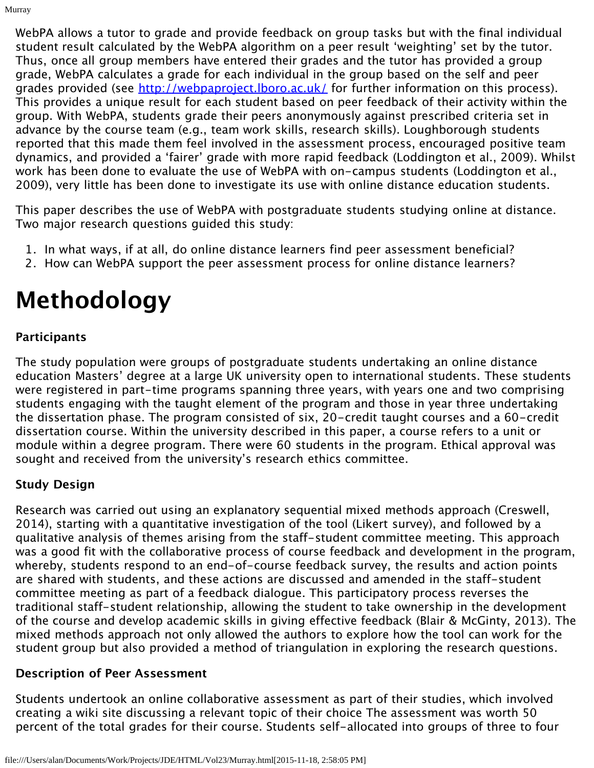WebPA allows a tutor to grade and provide feedback on group tasks but with the final individual student result calculated by the WebPA algorithm on a peer result 'weighting' set by the tutor. Thus, once all group members have entered their grades and the tutor has provided a group grade, WebPA calculates a grade for each individual in the group based on the self and peer grades provided (see <http://webpaproject.lboro.ac.uk/>for further information on this process). This provides a unique result for each student based on peer feedback of their activity within the group. With WebPA, students grade their peers anonymously against prescribed criteria set in advance by the course team (e.g., team work skills, research skills). Loughborough students reported that this made them feel involved in the assessment process, encouraged positive team dynamics, and provided a 'fairer' grade with more rapid feedback (Loddington et al., 2009). Whilst work has been done to evaluate the use of WebPA with on-campus students (Loddington et al., 2009), very little has been done to investigate its use with online distance education students.

This paper describes the use of WebPA with postgraduate students studying online at distance. Two major research questions guided this study:

- 1. In what ways, if at all, do online distance learners find peer assessment beneficial?
- 2. How can WebPA support the peer assessment process for online distance learners?

# **Methodology**

## **Participants**

Murray

The study population were groups of postgraduate students undertaking an online distance education Masters' degree at a large UK university open to international students. These students were registered in part-time programs spanning three years, with years one and two comprising students engaging with the taught element of the program and those in year three undertaking the dissertation phase. The program consisted of six, 20-credit taught courses and a 60-credit dissertation course. Within the university described in this paper, a course refers to a unit or module within a degree program. There were 60 students in the program. Ethical approval was sought and received from the university's research ethics committee.

## **Study Design**

Research was carried out using an explanatory sequential mixed methods approach (Creswell, 2014), starting with a quantitative investigation of the tool (Likert survey), and followed by a qualitative analysis of themes arising from the staff-student committee meeting. This approach was a good fit with the collaborative process of course feedback and development in the program, whereby, students respond to an end-of-course feedback survey, the results and action points are shared with students, and these actions are discussed and amended in the staff-student committee meeting as part of a feedback dialogue. This participatory process reverses the traditional staff-student relationship, allowing the student to take ownership in the development of the course and develop academic skills in giving effective feedback (Blair & McGinty, 2013). The mixed methods approach not only allowed the authors to explore how the tool can work for the student group but also provided a method of triangulation in exploring the research questions.

## **Description of Peer Assessment**

Students undertook an online collaborative assessment as part of their studies, which involved creating a wiki site discussing a relevant topic of their choice The assessment was worth 50 percent of the total grades for their course. Students self-allocated into groups of three to four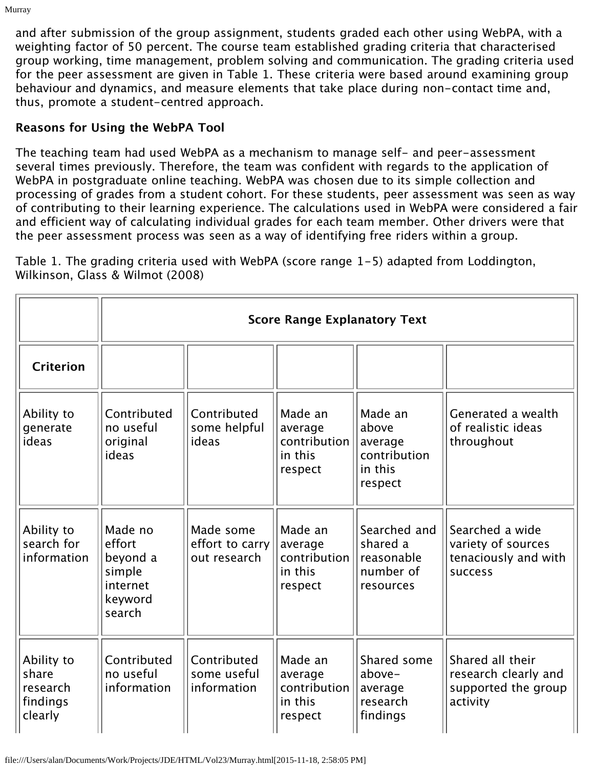and after submission of the group assignment, students graded each other using WebPA, with a weighting factor of 50 percent. The course team established grading criteria that characterised group working, time management, problem solving and communication. The grading criteria used for the peer assessment are given in Table 1. These criteria were based around examining group behaviour and dynamics, and measure elements that take place during non-contact time and, thus, promote a student-centred approach.

### **Reasons for Using the WebPA Tool**

Murray

The teaching team had used WebPA as a mechanism to manage self- and peer-assessment several times previously. Therefore, the team was confident with regards to the application of WebPA in postgraduate online teaching. WebPA was chosen due to its simple collection and processing of grades from a student cohort. For these students, peer assessment was seen as way of contributing to their learning experience. The calculations used in WebPA were considered a fair and efficient way of calculating individual grades for each team member. Other drivers were that the peer assessment process was seen as a way of identifying free riders within a group.

Table 1. The grading criteria used with WebPA (score range 1-5) adapted from Loddington, Wilkinson, Glass & Wilmot (2008)

|                                                        |                                                                          | <b>Score Range Explanatory Text</b>          |                                                          |                                                                   |                                                                             |  |  |  |
|--------------------------------------------------------|--------------------------------------------------------------------------|----------------------------------------------|----------------------------------------------------------|-------------------------------------------------------------------|-----------------------------------------------------------------------------|--|--|--|
| <b>Criterion</b>                                       |                                                                          |                                              |                                                          |                                                                   |                                                                             |  |  |  |
| Ability to<br>generate<br>ideas                        | Contributed<br>no useful<br>original<br>ideas                            | Contributed<br>some helpful<br>ideas         | Made an<br>average<br>contribution<br>in this<br>respect | Made an<br>above<br>average<br>contribution<br>in this<br>respect | Generated a wealth<br>of realistic ideas<br>throughout                      |  |  |  |
| Ability to<br>search for<br>information                | Made no<br>effort<br>beyond a<br>simple<br>internet<br>keyword<br>search | Made some<br>effort to carry<br>out research | Made an<br>average<br>contribution<br>in this<br>respect | Searched and<br>shared a<br>reasonable<br>number of<br>resources  | Searched a wide<br>variety of sources<br>tenaciously and with<br>success    |  |  |  |
| Ability to<br>share<br>research<br>findings<br>clearly | Contributed<br>no useful<br>information                                  | Contributed<br>some useful<br>information    | Made an<br>average<br>contribution<br>in this<br>respect | Shared some<br>above-<br>average<br>research<br>findings          | Shared all their<br>research clearly and<br>supported the group<br>activity |  |  |  |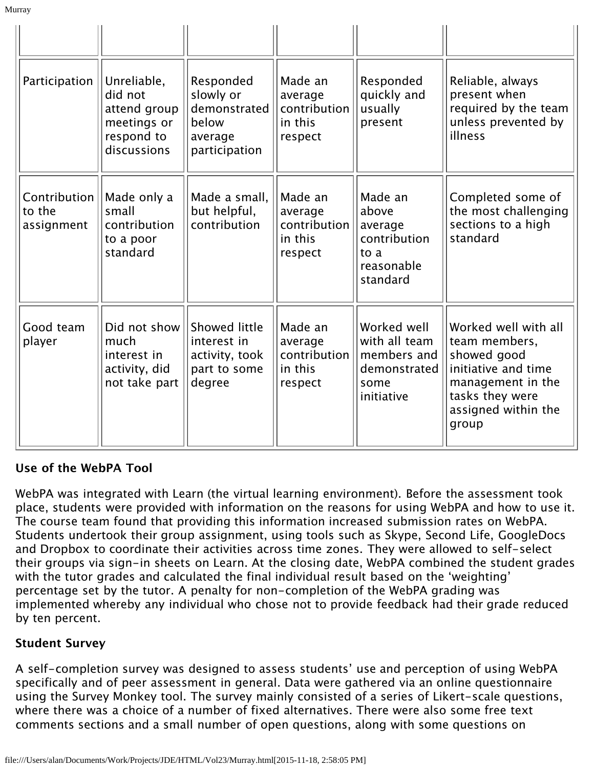| Participation                        | Unreliable,<br>did not<br>attend group<br>meetings or<br>respond to<br>discussions | Responded<br>slowly or<br>demonstrated<br>below<br>average<br>participation | Made an<br>average<br>contribution<br>in this<br>respect | Responded<br>quickly and<br>usually<br>present                                    | Reliable, always<br>present when<br>required by the team<br>unless prevented by<br>illness                                                          |
|--------------------------------------|------------------------------------------------------------------------------------|-----------------------------------------------------------------------------|----------------------------------------------------------|-----------------------------------------------------------------------------------|-----------------------------------------------------------------------------------------------------------------------------------------------------|
| Contribution<br>to the<br>assignment | Made only a<br>small<br>contribution<br>to a poor<br>standard                      | Made a small.<br>but helpful,<br>contribution                               | Made an<br>average<br>contribution<br>in this<br>respect | Made an<br>above<br>average<br>contribution<br>to a<br>reasonable<br>standard     | Completed some of<br>the most challenging<br>sections to a high<br>standard                                                                         |
| Good team<br>player                  | Did not show<br>much<br>interest in<br>activity, did<br>not take part              | Showed little<br>interest in<br>activity, took<br>part to some<br>degree    | Made an<br>average<br>contribution<br>in this<br>respect | Worked well<br>with all team<br>members and<br>demonstrated<br>some<br>initiative | Worked well with all<br>team members,<br>showed good<br>initiative and time<br>management in the<br>tasks they were<br>assigned within the<br>group |

## **Use of the WebPA Tool**

Murray

WebPA was integrated with Learn (the virtual learning environment). Before the assessment took place, students were provided with information on the reasons for using WebPA and how to use it. The course team found that providing this information increased submission rates on WebPA. Students undertook their group assignment, using tools such as Skype, Second Life, GoogleDocs and Dropbox to coordinate their activities across time zones. They were allowed to self-select their groups via sign-in sheets on Learn. At the closing date, WebPA combined the student grades with the tutor grades and calculated the final individual result based on the 'weighting' percentage set by the tutor. A penalty for non-completion of the WebPA grading was implemented whereby any individual who chose not to provide feedback had their grade reduced by ten percent.

#### **Student Survey**

A self-completion survey was designed to assess students' use and perception of using WebPA specifically and of peer assessment in general. Data were gathered via an online questionnaire using the Survey Monkey tool. The survey mainly consisted of a series of Likert-scale questions, where there was a choice of a number of fixed alternatives. There were also some free text comments sections and a small number of open questions, along with some questions on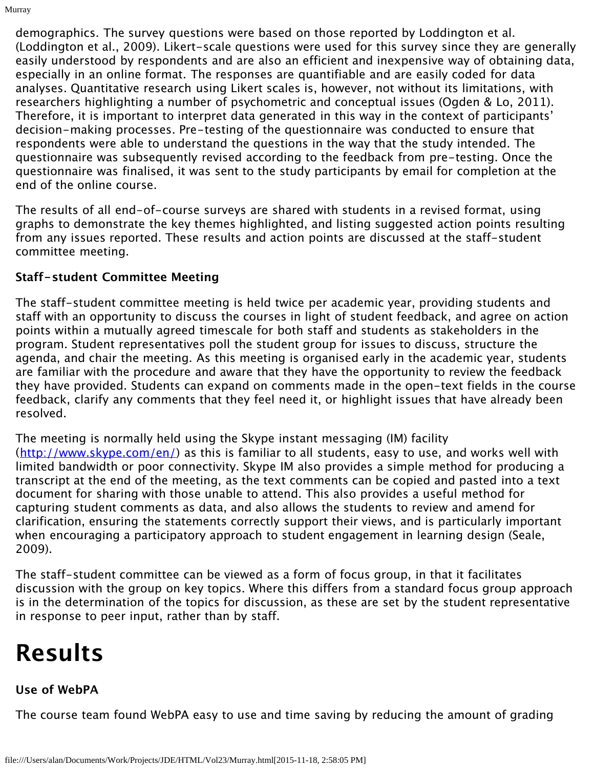demographics. The survey questions were based on those reported by Loddington et al. (Loddington et al., 2009). Likert-scale questions were used for this survey since they are generally easily understood by respondents and are also an efficient and inexpensive way of obtaining data, especially in an online format. The responses are quantifiable and are easily coded for data analyses. Quantitative research using Likert scales is, however, not without its limitations, with researchers highlighting a number of psychometric and conceptual issues (Ogden & Lo, 2011). Therefore, it is important to interpret data generated in this way in the context of participants' decision-making processes. Pre-testing of the questionnaire was conducted to ensure that respondents were able to understand the questions in the way that the study intended. The questionnaire was subsequently revised according to the feedback from pre-testing. Once the questionnaire was finalised, it was sent to the study participants by email for completion at the end of the online course.

The results of all end-of-course surveys are shared with students in a revised format, using graphs to demonstrate the key themes highlighted, and listing suggested action points resulting from any issues reported. These results and action points are discussed at the staff-student committee meeting.

## **Staff-student Committee Meeting**

Murray

The staff-student committee meeting is held twice per academic year, providing students and staff with an opportunity to discuss the courses in light of student feedback, and agree on action points within a mutually agreed timescale for both staff and students as stakeholders in the program. Student representatives poll the student group for issues to discuss, structure the agenda, and chair the meeting. As this meeting is organised early in the academic year, students are familiar with the procedure and aware that they have the opportunity to review the feedback they have provided. Students can expand on comments made in the open-text fields in the course feedback, clarify any comments that they feel need it, or highlight issues that have already been resolved.

The meeting is normally held using the Skype instant messaging (IM) facility ([http://www.skype.com/en/\)](http://www.skype.com/en/) as this is familiar to all students, easy to use, and works well with limited bandwidth or poor connectivity. Skype IM also provides a simple method for producing a transcript at the end of the meeting, as the text comments can be copied and pasted into a text document for sharing with those unable to attend. This also provides a useful method for capturing student comments as data, and also allows the students to review and amend for clarification, ensuring the statements correctly support their views, and is particularly important when encouraging a participatory approach to student engagement in learning design (Seale, 2009).

The staff-student committee can be viewed as a form of focus group, in that it facilitates discussion with the group on key topics. Where this differs from a standard focus group approach is in the determination of the topics for discussion, as these are set by the student representative in response to peer input, rather than by staff.

# **Results**

## **Use of WebPA**

The course team found WebPA easy to use and time saving by reducing the amount of grading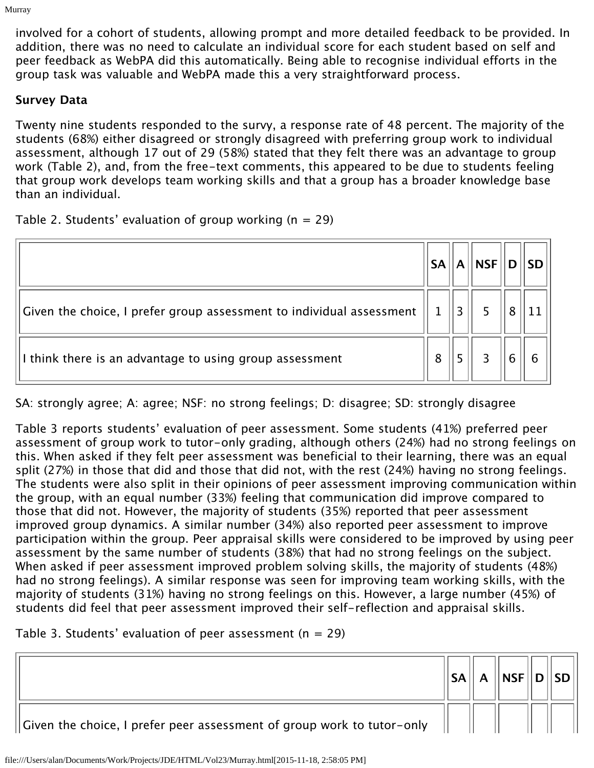involved for a cohort of students, allowing prompt and more detailed feedback to be provided. In addition, there was no need to calculate an individual score for each student based on self and peer feedback as WebPA did this automatically. Being able to recognise individual efforts in the group task was valuable and WebPA made this a very straightforward process.

## **Survey Data**

Murray

Twenty nine students responded to the survy, a response rate of 48 percent. The majority of the students (68%) either disagreed or strongly disagreed with preferring group work to individual assessment, although 17 out of 29 (58%) stated that they felt there was an advantage to group work (Table 2), and, from the free-text comments, this appeared to be due to students feeling that group work develops team working skills and that a group has a broader knowledge base than an individual.

Table 2. Students' evaluation of group working  $(n = 29)$ 

|                                                                      | <b>SA</b> | A | $\overline{\phantom{a}}$ NSF | <b>SD</b> |
|----------------------------------------------------------------------|-----------|---|------------------------------|-----------|
| Given the choice, I prefer group assessment to individual assessment |           |   |                              |           |
| I think there is an advantage to using group assessment              | 8         |   |                              |           |

SA: strongly agree; A: agree; NSF: no strong feelings; D: disagree; SD: strongly disagree

Table 3 reports students' evaluation of peer assessment. Some students (41%) preferred peer assessment of group work to tutor-only grading, although others (24%) had no strong feelings on this. When asked if they felt peer assessment was beneficial to their learning, there was an equal split (27%) in those that did and those that did not, with the rest (24%) having no strong feelings. The students were also split in their opinions of peer assessment improving communication within the group, with an equal number (33%) feeling that communication did improve compared to those that did not. However, the majority of students (35%) reported that peer assessment improved group dynamics. A similar number (34%) also reported peer assessment to improve participation within the group. Peer appraisal skills were considered to be improved by using peer assessment by the same number of students (38%) that had no strong feelings on the subject. When asked if peer assessment improved problem solving skills, the majority of students (48%) had no strong feelings). A similar response was seen for improving team working skills, with the majority of students (31%) having no strong feelings on this. However, a large number (45%) of students did feel that peer assessment improved their self-reflection and appraisal skills.

Table 3. Students' evaluation of peer assessment ( $n = 29$ )

|                                                                                    | <b>SA</b> | $\mathsf{A}$ | $\vert$ NSF $\vert\vert$ D $\vert\vert$ SD $\vert\vert$ |  |
|------------------------------------------------------------------------------------|-----------|--------------|---------------------------------------------------------|--|
| $\parallel$ Given the choice, I prefer peer assessment of group work to tutor-only |           |              |                                                         |  |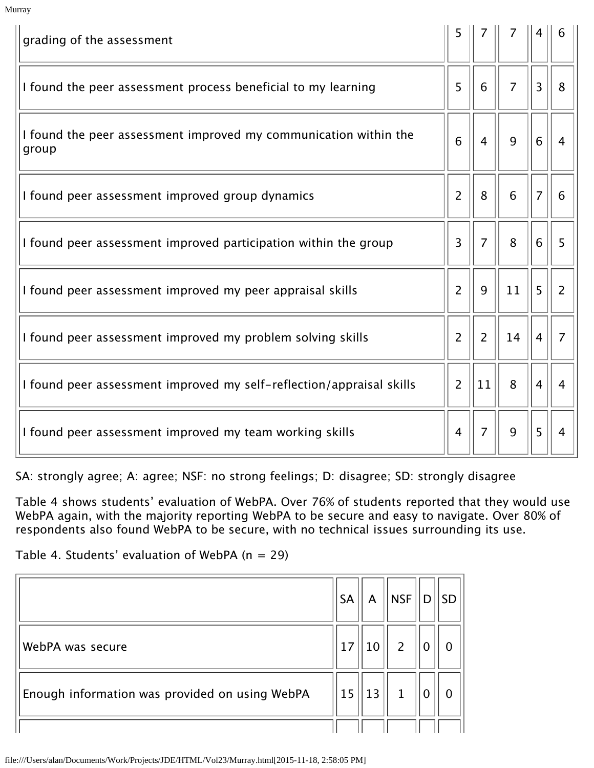| grading of the assessment                                                 |                |                |                |                |                |
|---------------------------------------------------------------------------|----------------|----------------|----------------|----------------|----------------|
| I found the peer assessment process beneficial to my learning             |                | 6              | $\overline{7}$ | 3              | 8              |
| I found the peer assessment improved my communication within the<br>group |                | $\overline{4}$ | 9              | 6              | $\overline{4}$ |
| I found peer assessment improved group dynamics                           | 2              | 8              | 6              | $\overline{7}$ | 6              |
| I found peer assessment improved participation within the group           | 3              | $\overline{7}$ | 8              | 6              | 5              |
| I found peer assessment improved my peer appraisal skills                 |                | 9              | 11             | 5              | $\overline{2}$ |
| I found peer assessment improved my problem solving skills                | $\overline{2}$ | $\overline{2}$ | 14             | $\overline{4}$ | $\overline{7}$ |
| I found peer assessment improved my self-reflection/appraisal skills      |                | 11             | 8              | 4              | $\overline{4}$ |
| I found peer assessment improved my team working skills                   | $\overline{4}$ | $\overline{7}$ | 9              | 5              | 4              |

SA: strongly agree; A: agree; NSF: no strong feelings; D: disagree; SD: strongly disagree

Table 4 shows students' evaluation of WebPA. Over 76% of students reported that they would use WebPA again, with the majority reporting WebPA to be secure and easy to navigate. Over 80% of respondents also found WebPA to be secure, with no technical issues surrounding its use.

Table 4. Students' evaluation of WebPA  $(n = 29)$ 

Murray

|                                                | <b>SA</b> | A  | <b>NSF</b>     | D | <b>SD</b> |
|------------------------------------------------|-----------|----|----------------|---|-----------|
| WebPA was secure                               | 17        | 10 | $\overline{2}$ |   | 0         |
| Enough information was provided on using WebPA | 15        | 13 | $\mathbf{1}$   |   | 0         |
|                                                |           |    |                |   |           |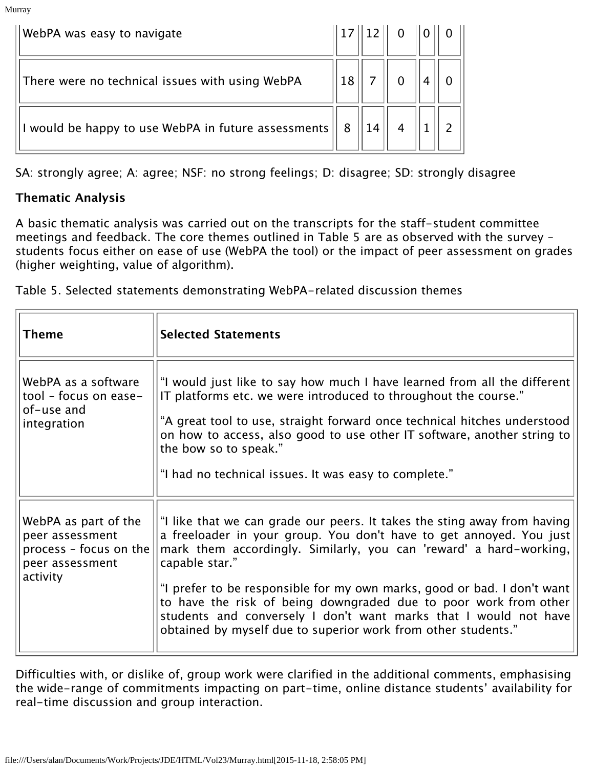| WebPA was easy to navigate                          |                          | $\ 17\ 12\ $ 0 $\ 0\ $ 0 $\ $ |                |
|-----------------------------------------------------|--------------------------|-------------------------------|----------------|
| There were no technical issues with using WebPA     | $\vert 18 \vert \vert 7$ |                               |                |
| I would be happy to use WebPA in future assessments | $\vert 8 \vert$          |                               | $\overline{2}$ |

SA: strongly agree; A: agree; NSF: no strong feelings; D: disagree; SD: strongly disagree

### **Thematic Analysis**

Murray

A basic thematic analysis was carried out on the transcripts for the staff-student committee meetings and feedback. The core themes outlined in Table 5 are as observed with the survey – students focus either on ease of use (WebPA the tool) or the impact of peer assessment on grades (higher weighting, value of algorithm).

Table 5. Selected statements demonstrating WebPA-related discussion themes

| <b>Theme</b>                                                                                     | <b>Selected Statements</b>                                                                                                                                                                                                                                                                                                                                                                                                                                                                                                  |
|--------------------------------------------------------------------------------------------------|-----------------------------------------------------------------------------------------------------------------------------------------------------------------------------------------------------------------------------------------------------------------------------------------------------------------------------------------------------------------------------------------------------------------------------------------------------------------------------------------------------------------------------|
| WebPA as a software<br>tool - focus on ease-<br>of-use and<br>integration                        | "I would just like to say how much I have learned from all the different<br>IT platforms etc. we were introduced to throughout the course."<br>"A great tool to use, straight forward once technical hitches understood<br>on how to access, also good to use other IT software, another string to<br>the bow so to speak."<br>"I had no technical issues. It was easy to complete."                                                                                                                                        |
| WebPA as part of the<br>peer assessment<br>process - focus on the<br>peer assessment<br>activity | "I like that we can grade our peers. It takes the sting away from having<br>a freeloader in your group. You don't have to get annoyed. You just<br>mark them accordingly. Similarly, you can 'reward' a hard-working,<br>capable star."<br>"I prefer to be responsible for my own marks, good or bad. I don't want<br>to have the risk of being downgraded due to poor work from other<br>students and conversely I don't want marks that I would not have<br>obtained by myself due to superior work from other students." |

Difficulties with, or dislike of, group work were clarified in the additional comments, emphasising the wide-range of commitments impacting on part-time, online distance students' availability for real-time discussion and group interaction.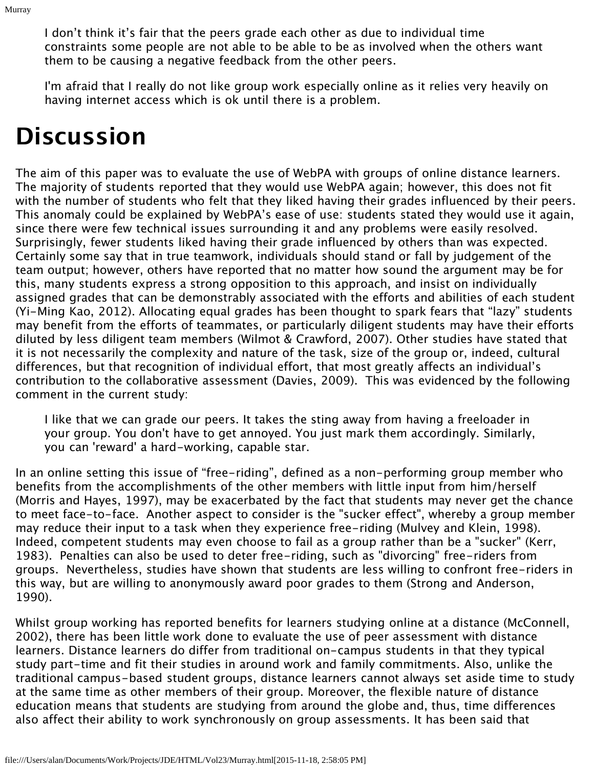I don't think it's fair that the peers grade each other as due to individual time constraints some people are not able to be able to be as involved when the others want them to be causing a negative feedback from the other peers.

I'm afraid that I really do not like group work especially online as it relies very heavily on having internet access which is ok until there is a problem.

# **Discussion**

Murray

The aim of this paper was to evaluate the use of WebPA with groups of online distance learners. The majority of students reported that they would use WebPA again; however, this does not fit with the number of students who felt that they liked having their grades influenced by their peers. This anomaly could be explained by WebPA's ease of use: students stated they would use it again, since there were few technical issues surrounding it and any problems were easily resolved. Surprisingly, fewer students liked having their grade influenced by others than was expected. Certainly some say that in true teamwork, individuals should stand or fall by judgement of the team output; however, others have reported that no matter how sound the argument may be for this, many students express a strong opposition to this approach, and insist on individually assigned grades that can be demonstrably associated with the efforts and abilities of each student (Yi-Ming Kao, 2012). Allocating equal grades has been thought to spark fears that "lazy" students may benefit from the efforts of teammates, or particularly diligent students may have their efforts diluted by less diligent team members (Wilmot & Crawford, 2007). Other studies have stated that it is not necessarily the complexity and nature of the task, size of the group or, indeed, cultural differences, but that recognition of individual effort, that most greatly affects an individual's contribution to the collaborative assessment (Davies, 2009). This was evidenced by the following comment in the current study:

I like that we can grade our peers. It takes the sting away from having a freeloader in your group. You don't have to get annoyed. You just mark them accordingly. Similarly, you can 'reward' a hard-working, capable star.

In an online setting this issue of "free-riding", defined as a non-performing group member who benefits from the accomplishments of the other members with little input from him/herself (Morris and Hayes, 1997), may be exacerbated by the fact that students may never get the chance to meet face-to-face. Another aspect to consider is the "sucker effect", whereby a group member may reduce their input to a task when they experience free-riding (Mulvey and Klein, 1998). Indeed, competent students may even choose to fail as a group rather than be a "sucker" (Kerr, 1983). Penalties can also be used to deter free-riding, such as "divorcing" free-riders from groups. Nevertheless, studies have shown that students are less willing to confront free-riders in this way, but are willing to anonymously award poor grades to them (Strong and Anderson, 1990).

Whilst group working has reported benefits for learners studying online at a distance (McConnell, 2002), there has been little work done to evaluate the use of peer assessment with distance learners. Distance learners do differ from traditional on-campus students in that they typical study part-time and fit their studies in around work and family commitments. Also, unlike the traditional campus-based student groups, distance learners cannot always set aside time to study at the same time as other members of their group. Moreover, the flexible nature of distance education means that students are studying from around the globe and, thus, time differences also affect their ability to work synchronously on group assessments. It has been said that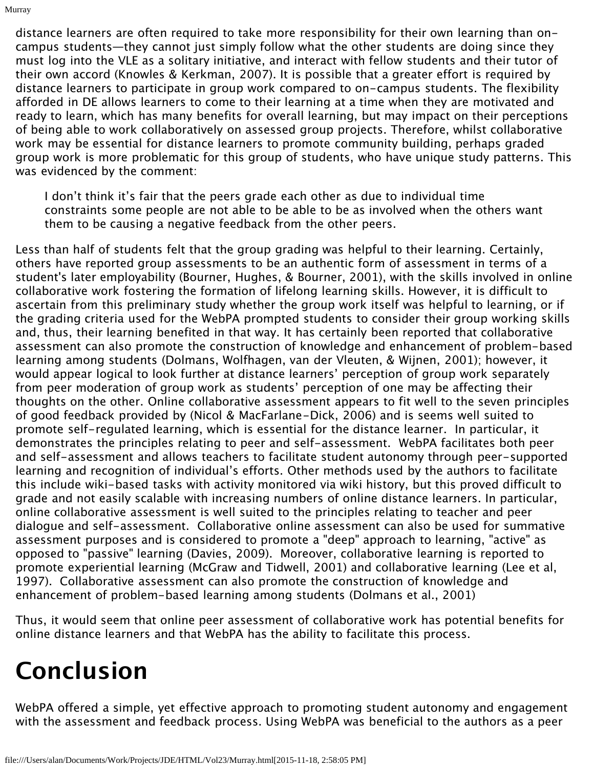distance learners are often required to take more responsibility for their own learning than oncampus students—they cannot just simply follow what the other students are doing since they must log into the VLE as a solitary initiative, and interact with fellow students and their tutor of their own accord (Knowles & Kerkman, 2007). It is possible that a greater effort is required by distance learners to participate in group work compared to on-campus students. The flexibility afforded in DE allows learners to come to their learning at a time when they are motivated and ready to learn, which has many benefits for overall learning, but may impact on their perceptions of being able to work collaboratively on assessed group projects. Therefore, whilst collaborative work may be essential for distance learners to promote community building, perhaps graded group work is more problematic for this group of students, who have unique study patterns. This was evidenced by the comment:

I don't think it's fair that the peers grade each other as due to individual time constraints some people are not able to be able to be as involved when the others want them to be causing a negative feedback from the other peers.

Less than half of students felt that the group grading was helpful to their learning. Certainly, others have reported group assessments to be an authentic form of assessment in terms of a student's later employability (Bourner, Hughes, & Bourner, 2001), with the skills involved in online collaborative work fostering the formation of lifelong learning skills. However, it is difficult to ascertain from this preliminary study whether the group work itself was helpful to learning, or if the grading criteria used for the WebPA prompted students to consider their group working skills and, thus, their learning benefited in that way. It has certainly been reported that collaborative assessment can also promote the construction of knowledge and enhancement of problem-based learning among students (Dolmans, Wolfhagen, van der Vleuten, & Wijnen, 2001); however, it would appear logical to look further at distance learners' perception of group work separately from peer moderation of group work as students' perception of one may be affecting their thoughts on the other. Online collaborative assessment appears to fit well to the seven principles of good feedback provided by (Nicol & MacFarlane-Dick, 2006) and is seems well suited to promote self-regulated learning, which is essential for the distance learner. In particular, it demonstrates the principles relating to peer and self-assessment. WebPA facilitates both peer and self-assessment and allows teachers to facilitate student autonomy through peer-supported learning and recognition of individual's efforts. Other methods used by the authors to facilitate this include wiki-based tasks with activity monitored via wiki history, but this proved difficult to grade and not easily scalable with increasing numbers of online distance learners. In particular, online collaborative assessment is well suited to the principles relating to teacher and peer dialogue and self-assessment. Collaborative online assessment can also be used for summative assessment purposes and is considered to promote a "deep" approach to learning, "active" as opposed to "passive" learning (Davies, 2009). Moreover, collaborative learning is reported to promote experiential learning (McGraw and Tidwell, 2001) and collaborative learning (Lee et al, 1997). Collaborative assessment can also promote the construction of knowledge and enhancement of problem-based learning among students (Dolmans et al., 2001)

Thus, it would seem that online peer assessment of collaborative work has potential benefits for online distance learners and that WebPA has the ability to facilitate this process.

# **Conclusion**

Murray

WebPA offered a simple, yet effective approach to promoting student autonomy and engagement with the assessment and feedback process. Using WebPA was beneficial to the authors as a peer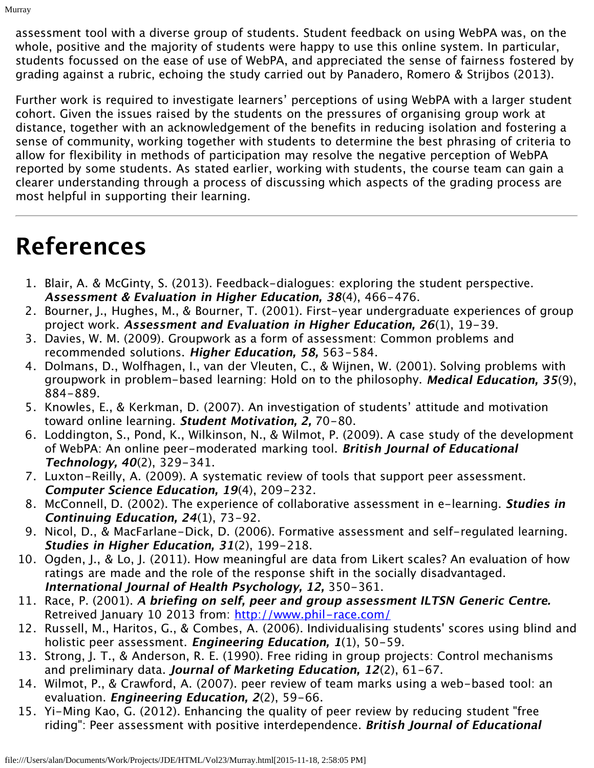assessment tool with a diverse group of students. Student feedback on using WebPA was, on the whole, positive and the majority of students were happy to use this online system. In particular, students focussed on the ease of use of WebPA, and appreciated the sense of fairness fostered by grading against a rubric, echoing the study carried out by Panadero, Romero & Strijbos (2013).

Further work is required to investigate learners' perceptions of using WebPA with a larger student cohort. Given the issues raised by the students on the pressures of organising group work at distance, together with an acknowledgement of the benefits in reducing isolation and fostering a sense of community, working together with students to determine the best phrasing of criteria to allow for flexibility in methods of participation may resolve the negative perception of WebPA reported by some students. As stated earlier, working with students, the course team can gain a clearer understanding through a process of discussing which aspects of the grading process are most helpful in supporting their learning.

# **References**

Murray

- 1. Blair, A. & McGinty, S. (2013). Feedback-dialogues: exploring the student perspective. **Assessment & Evaluation in Higher Education, 38**(4), 466-476.
- 2. Bourner, J., Hughes, M., & Bourner, T. (2001). First-year undergraduate experiences of group project work. **Assessment and Evaluation in Higher Education, 26**(1), 19-39.
- 3. Davies, W. M. (2009). Groupwork as a form of assessment: Common problems and recommended solutions. **Higher Education, 58,** 563-584.
- 4. Dolmans, D., Wolfhagen, I., van der Vleuten, C., & Wijnen, W. (2001). Solving problems with groupwork in problem-based learning: Hold on to the philosophy. **Medical Education, 35**(9), 884-889.
- 5. Knowles, E., & Kerkman, D. (2007). An investigation of students' attitude and motivation toward online learning. **Student Motivation, 2,** 70-80.
- 6. Loddington, S., Pond, K., Wilkinson, N., & Wilmot, P. (2009). A case study of the development of WebPA: An online peer-moderated marking tool. **British Journal of Educational Technology, 40**(2), 329-341.
- 7. Luxton-Reilly, A. (2009). A systematic review of tools that support peer assessment. **Computer Science Education, 19**(4), 209-232.
- 8. McConnell, D. (2002). The experience of collaborative assessment in e-learning. **Studies in Continuing Education, 24**(1), 73-92.
- 9. Nicol, D., & MacFarlane-Dick, D. (2006). Formative assessment and self-regulated learning. **Studies in Higher Education, 31**(2), 199-218.
- 10. Ogden, J., & Lo, J. (2011). How meaningful are data from Likert scales? An evaluation of how ratings are made and the role of the response shift in the socially disadvantaged. **International Journal of Health Psychology, 12,** 350-361.
- 11. Race, P. (2001). **A briefing on self, peer and group assessment ILTSN Generic Centre.** Retreived January 10 2013 from: <http://www.phil-race.com/>
- 12. Russell, M., Haritos, G., & Combes, A. (2006). Individualising students' scores using blind and holistic peer assessment. **Engineering Education, 1**(1), 50-59.
- 13. Strong, J. T., & Anderson, R. E. (1990). Free riding in group projects: Control mechanisms and preliminary data. **Journal of Marketing Education, 12**(2), 61-67.
- 14. Wilmot, P., & Crawford, A. (2007). peer review of team marks using a web-based tool: an evaluation. **Engineering Education, 2**(2), 59-66.
- 15. Yi-Ming Kao, G. (2012). Enhancing the quality of peer review by reducing student "free riding": Peer assessment with positive interdependence. **British Journal of Educational**